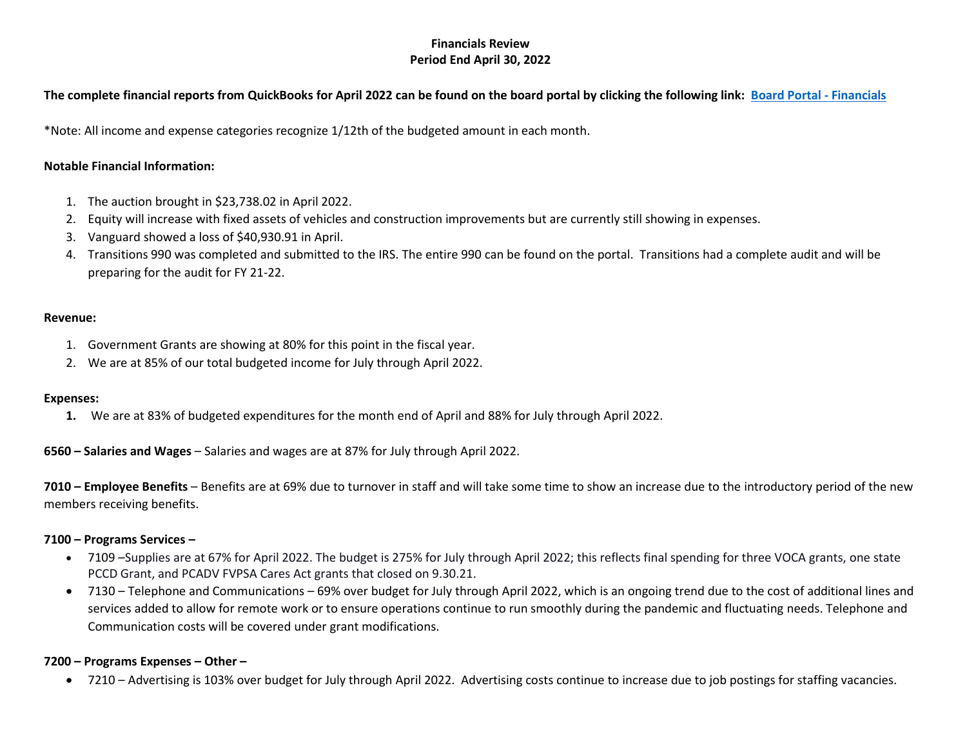# **Financials Review Period End April 30, 2022**

## **The complete financial reports from QuickBooks for April 2022 can be found on the board portal by clicking the following link: [Board Portal -](https://www.transitionsofpa.org/board-financial-information) Financials**

\*Note: All income and expense categories recognize 1/12th of the budgeted amount in each month.

### **Notable Financial Information:**

- 1. The auction brought in \$23,738.02 in April 2022.
- 2. Equity will increase with fixed assets of vehicles and construction improvements but are currently still showing in expenses.
- 3. Vanguard showed a loss of \$40,930.91 in April.
- 4. Transitions 990 was completed and submitted to the IRS. The entire 990 can be found on the portal. Transitions had a complete audit and will be preparing for the audit for FY 21-22.

#### **Revenue:**

- 1. Government Grants are showing at 80% for this point in the fiscal year.
- 2. We are at 85% of our total budgeted income for July through April 2022.

#### **Expenses:**

**1.** We are at 83% of budgeted expenditures for the month end of April and 88% for July through April 2022.

**6560 – Salaries and Wages** – Salaries and wages are at 87% for July through April 2022.

**7010 – Employee Benefits** – Benefits are at 69% due to turnover in staff and will take some time to show an increase due to the introductory period of the new members receiving benefits.

#### **7100 – Programs Services –**

- 7109 –Supplies are at 67% for April 2022. The budget is 275% for July through April 2022; this reflects final spending for three VOCA grants, one state PCCD Grant, and PCADV FVPSA Cares Act grants that closed on 9.30.21.
- 7130 Telephone and Communications 69% over budget for July through April 2022, which is an ongoing trend due to the cost of additional lines and services added to allow for remote work or to ensure operations continue to run smoothly during the pandemic and fluctuating needs. Telephone and Communication costs will be covered under grant modifications.

## **7200 – Programs Expenses – Other –**

• 7210 – Advertising is 103% over budget for July through April 2022. Advertising costs continue to increase due to job postings for staffing vacancies.